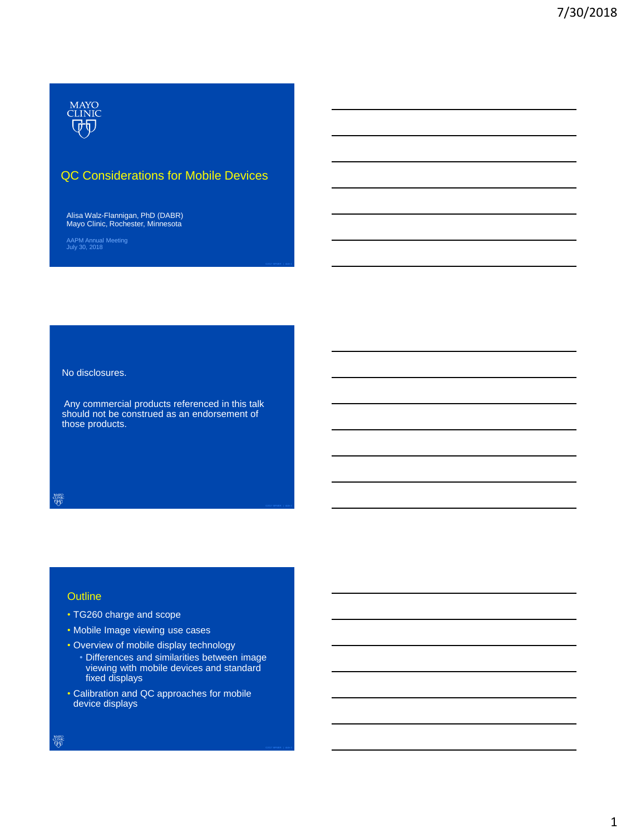

# QC Considerations for Mobile Devices

Alisa Walz-Flannigan, PhD (DABR) Mayo Clinic, Rochester, Minnesota

AAPM Annual Meeting July 30, 2018

No disclosures.

Any commercial products referenced in this talk should not be construed as an endorsement of those products.

**MAYO** 

## **Outline**

- TG260 charge and scope
- Mobile Image viewing use cases
- Overview of mobile display technology
	- Differences and similarities between image viewing with mobile devices and standard fixed displays
- Calibration and QC approaches for mobile device displays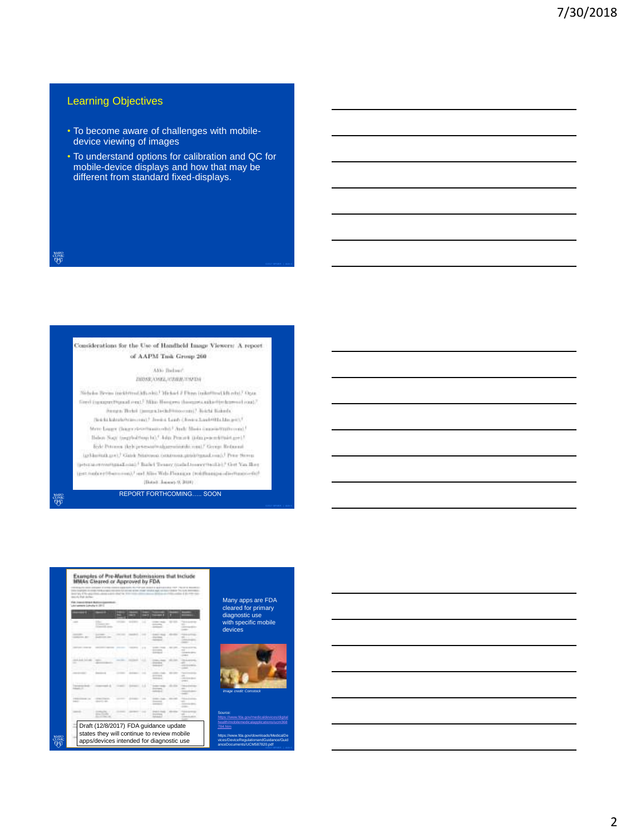# Learning Objectives

- To become aware of challenges with mobiledevice viewing of images
- To understand options for calibration and QC for mobile-device displays and how that may be different from standard fixed-displays.

**MAYO**<br>CLINIC<br>QUID

#### Considerations for the Use of Handheld Image Viewers: A report of AAPM Took Group 260

Alto Balant IMOSE/OSEL/CORR/INSTAR

Nicholm Bream (pickhrond.kd) ob)). 36-km J. Firms (pike/free) kd) eds).7 Ogan fired (spagnettypod read.<sup>)</sup> Mike Hoogers thoughts aike the learnest road." Augus Behri (jampa lechilitioorani) Rotch Robels. (b) a fix hides to be an exact  $\mathcal F$  . From a Law  $\mathcal F$  , from a Law bridge like group  $\mathcal F$ More Linger (hager-developmental) Andy Misis (annountmillerent). Balton Nagy (mapholdtony b), \* John Pencert (John ponend Hairt got). lish: Petrasea (leph je tesasitralgazminatiki roja)/ George Reducasi-(grNamitab.gr); / Galok Nisitowa (statemen.grnahogasal.com); / Prior Nisito (petersonwartgasTonic) I Balet Tenney (miled to see the Lie) "Get Yas Bey (get.no/certifium.com)/ sed Alios Web-Pieazgoa (redzhanija-alioshanizo-shi/ (Batell January 9, 2010)

REPORT FORTHCOMING….. SOON



# Many apps are FDA cleared for primary diagnostic use with specific mobile devices



Source: [https://www.fda.gov/medicaldevices/digital](https://www.fda.gov/medicaldevices/digitalhealth/mobilemedicalapplications/ucm368784.htm) [health/mobilemedicalapplications/ucm368](https://www.fda.gov/medicaldevices/digitalhealth/mobilemedicalapplications/ucm368784.htm) [784.htm](https://www.fda.gov/medicaldevices/digitalhealth/mobilemedicalapplications/ucm368784.htm) https://www.fda.gov/downloads/MedicalDe vices/DeviceRegulationandGuidance/Guid anceDocuments/UCM587820.pdf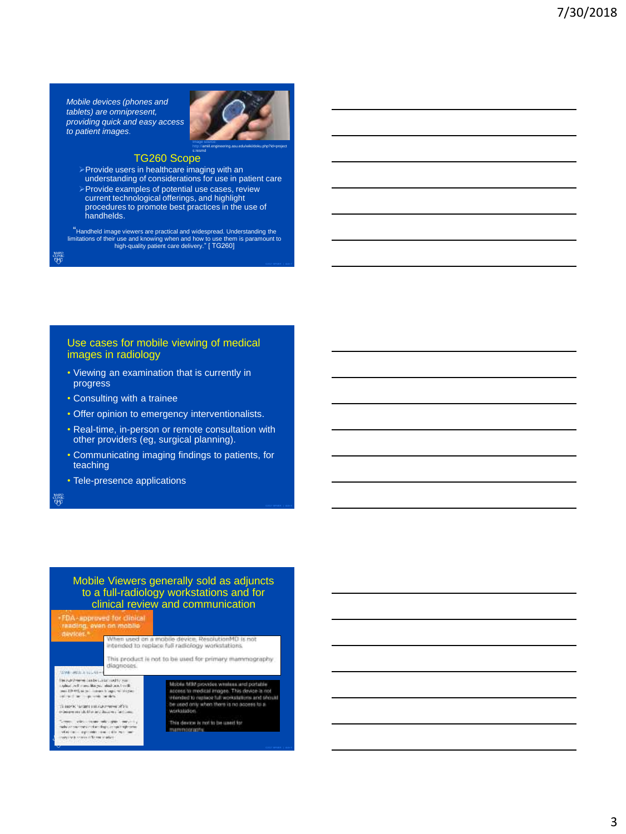*Mobile devices (phones and tablets) are omnipresent, providing quick and easy access to patient images*.



# TG260 Scope

Provide users in healthcare imaging with an

understanding of considerations for use in patient care Provide examples of potential use cases, review current technological offerings, and highlight procedures to promote best practices in the use of handhelds.

"Handheld image viewers are practical and widespread. Understanding the limitations of their use and knowing when and how to use them is paramount to high-quality patient care delivery." [ TG260]

<sub>ተለየሰ</sub><br>መልክ

## Use cases for mobile viewing of medical images in radiology

- Viewing an examination that is currently in progress
- Consulting with a trainee
- Offer opinion to emergency interventionalists.
- Real-time, in-person or remote consultation with other providers (eg, surgical planning).
- Communicating imaging findings to patients, for teaching
- Tele-presence applications

aawo<br>Qip

## Mobile Viewers generally sold as adjuncts to a full-radiology workstations and for clinical review and communication

FDA-approved for clinical<br>reading, even on mobile When used on a mobile device, ResolutionMD is not<br>intended to replace full radiology workstations. This product is not to be used for primary mammography diagnoses **CONFIDENTIAL ARTS** The contribution duration contribution control to the contribution of  $\sigma$  -random for the contribution of the contribution of the contribution of the contribution of the contribution of the contribution of the contributi Mobile MW provides winners and portable iscose for medical analysis. This device is not<br>access to medical analysis. This device is not<br>trainised to neplace full workstations and should<br>be used only when there is no access to a .<br>There is no contract to the contract of the weiskelation terment and the company and company and control<br>when the company of the charge company approach<br>when the company of the company of the company<br>when the company of the company of This device is not to be used for mammoorgony.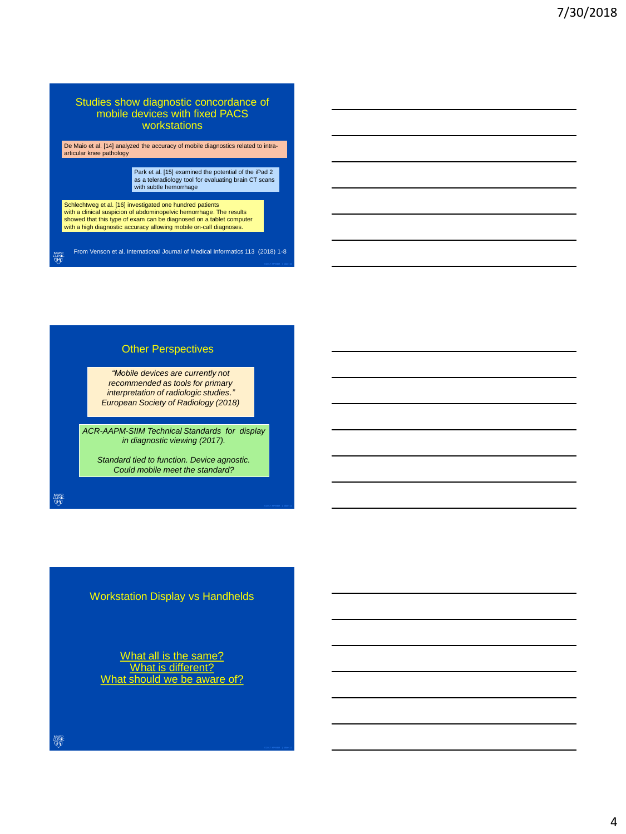## Studies show diagnostic concordance of mobile devices with fixed PACS workstations

De Maio et al. [14] analyzed the accuracy of mobile diagnostics related to intra-articular knee pathology

Park et al. [15] examined the potential of the iPad 2 as a teleradiology tool for evaluating brain CT scans with subtle hemorrhage

Schlechtweg et al. [16] investigated one hundred patients<br>with a clinical suspicion of abdominopelvic hemorrhage. The results<br>showed that this type of exam can be diagnosed on a tablet computer with a high diagnostic accuracy allowing mobile on-call diagnoses.

From Venson et al. International Journal of Medical Informatics 113 (2018) 1-8 mayo<br>Clinic<br>QD

## Other Perspectives

*"Mobile devices are currently not recommended as tools for primary interpretation of radiologic studies." European Society of Radiology (2018)*

*ACR-AAPM-SIIM Technical Standards for display in diagnostic viewing (2017).*

*Standard tied to function. Device agnostic. Could mobile meet the standard?*

anse<br>QD

Workstation Display vs Handhelds

What all is the same? What is different? What should we be aware of?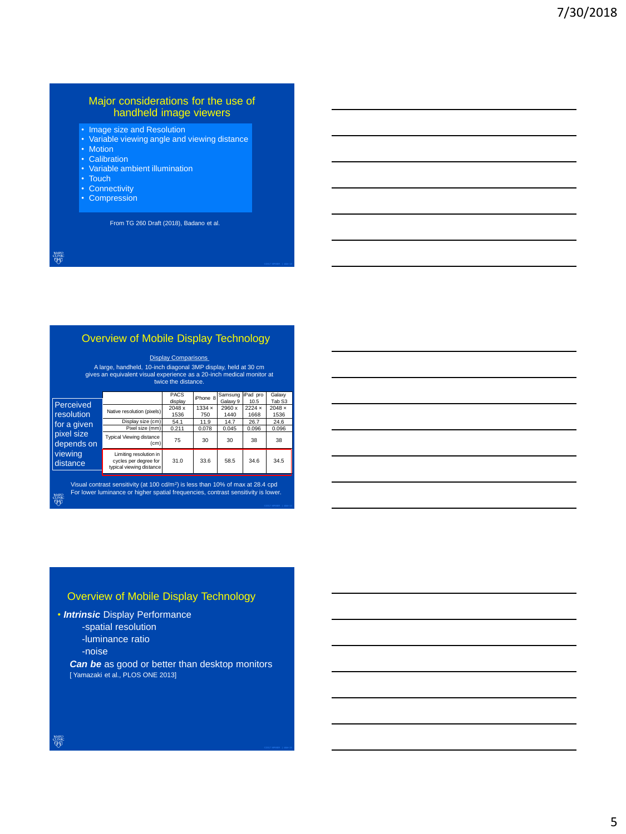## Major considerations for the use of handheld image viewers

- Image size and Resolution
- Variable viewing angle and viewing distance
- Motion
- Calibration
- Variable ambient illumination
- Touch
- Connectivity
- Compression

From TG 260 Draft (2018), Badano et al.

mayo<br>Clinic<br>QD

# Overview of Mobile Display Technology

**Display Comparisons** 

A large, handheld, 10-inch diagonal 3MP display, held at 30 cm gives an equivalent visual experience as a 20-inch medical monitor at twice the distance.

|                                                                |                                                                             | <b>PACS</b> | iPhone 8 | Samsung  | iPad pro | Galaxy        |
|----------------------------------------------------------------|-----------------------------------------------------------------------------|-------------|----------|----------|----------|---------------|
| Perceived                                                      |                                                                             | display     |          | Galaxy 9 | 10.5     | Tab S3        |
|                                                                | Native resolution (pixels)                                                  | 2048 x      | 1334x    | 2960 x   | 2224x    | $2048 \times$ |
| resolution                                                     |                                                                             | 1536        | 750      | 1440     | 1668     | 1536          |
| for a given<br>pixel size<br>depends on<br>viewing<br>distance | Display size (cm)                                                           | 54.1        | 11.9     | 14.7     | 26.7     | 24.6          |
|                                                                | Pixel size (mm)                                                             | 0.211       | 0.078    | 0.045    | 0.096    | 0.096         |
|                                                                | <b>Typical Viewing distance</b><br>(c <sub>m</sub> )                        | 75          | 30       | 30       | 38       | 38            |
|                                                                | Limiting resolution in<br>cycles per degree for<br>typical viewing distance | 31.0        | 33.6     | 58.5     | 34.6     | 34.5          |

Visual contrast sensitivity (at 100 cd/m<sup>2</sup> ) is less than 10% of max at 28.4 cpd For lower luminance or higher spatial frequencies, contrast sensitivity is lower. anse<br>QD

## Overview of Mobile Display Technology

• *Intrinsic* Display Performance

- -spatial resolution
- -luminance ratio
- -noise

*Can be* as good or better than desktop monitors [ Yamazaki et al., PLOS ONE 2013]

**HANG**<br>QU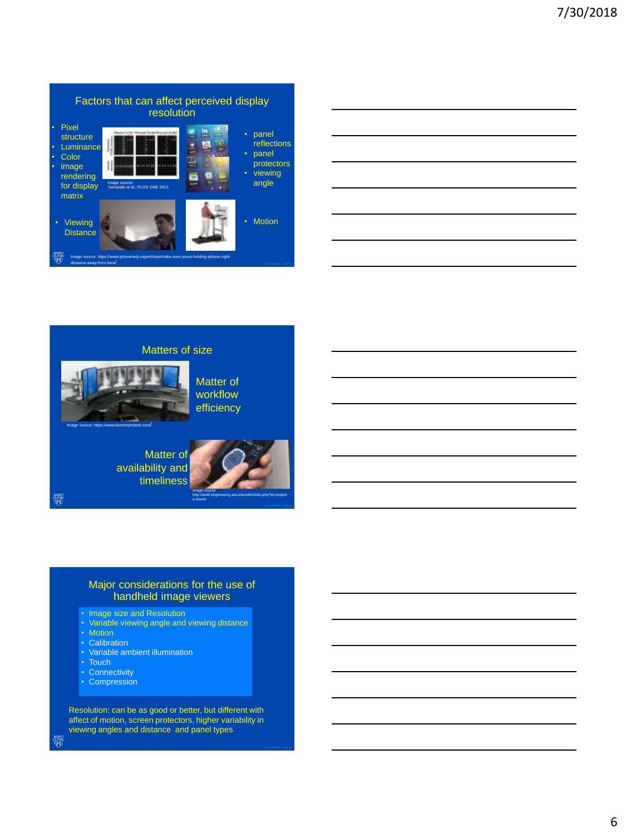







Matter of workflow efficiency

s:resmd

http://amiil.engineering.asu.edu/wiki/doku.php?id=project

Image source: Matter of availability and timeliness

**MAYO**<br>CLINIC

## Major considerations for the use of handheld image viewers

- Image size and Resolution
- Variable viewing angle and viewing distance
- Motion
- Calibration
- Variable ambient illumination
- Touch
- Connectivity
- Compression

Resolution: can be as good or better, but different with affect of motion, screen protectors, higher variability in viewing angles and distance and panel types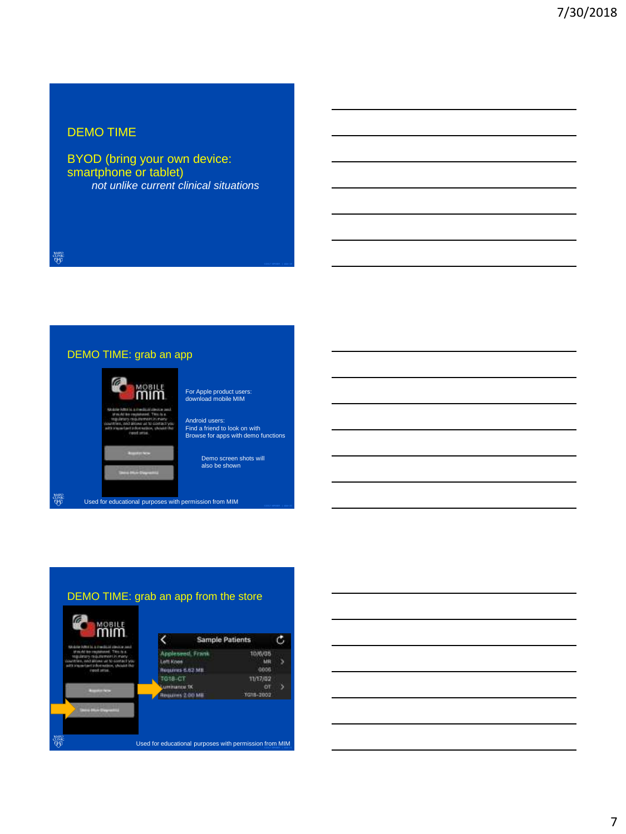# DEMO TIME

BYOD (bring your own device: smartphone or tablet) *not unlike current clinical situations*

**MAYO**<br>CLINIC<br>QUID

# DEMO TIME: grab an app MOBILE For Apple product users: download mobile MIM mim Android users: Find a friend to look on with Browse for apps with demo functions Demo screen shots will also be shown

**MAYO**<br>QUNIC Used for educational purposes with permission from MIM

# DEMO TIME: grab an app from the store



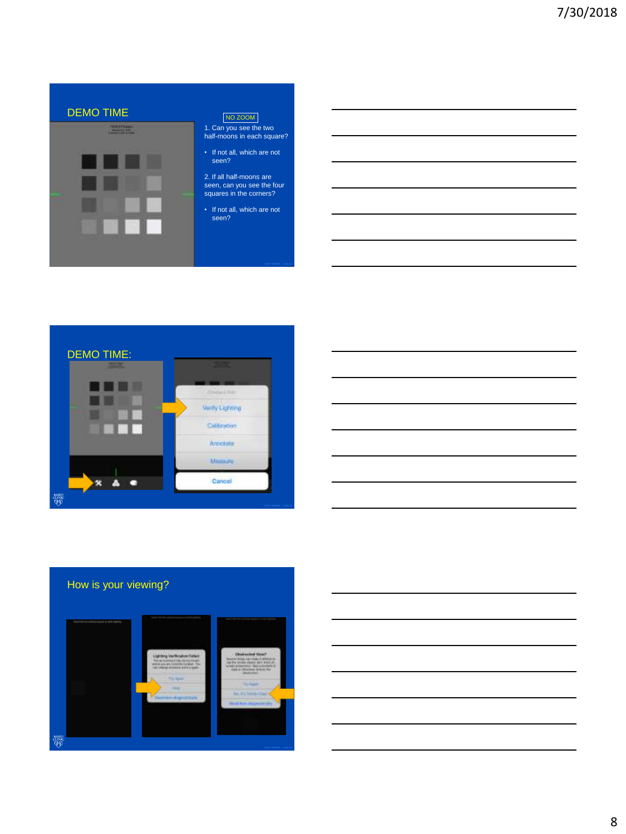

1. Can you see the two half-moons in each square?

2. If all half-moons are seen, can you see the four squares in the corners?

• If not all, which are not seen?





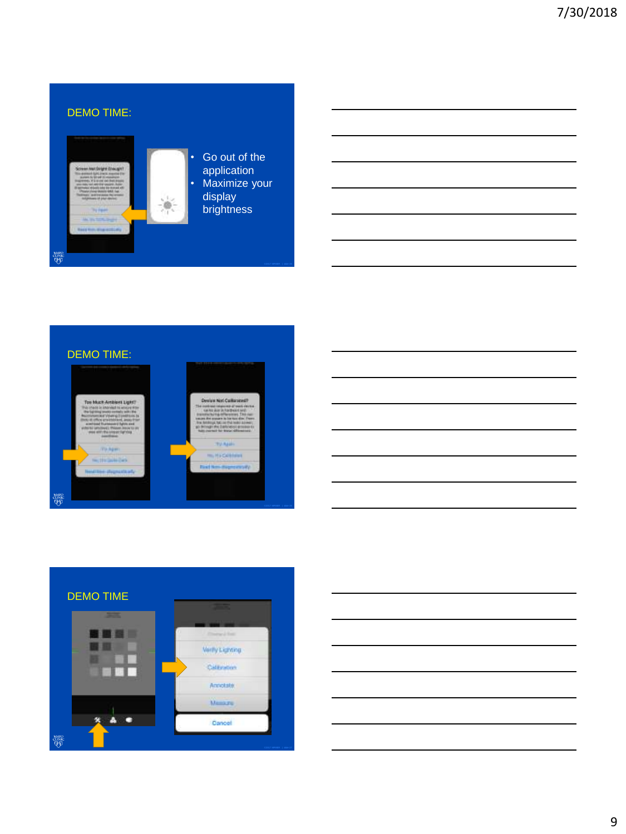







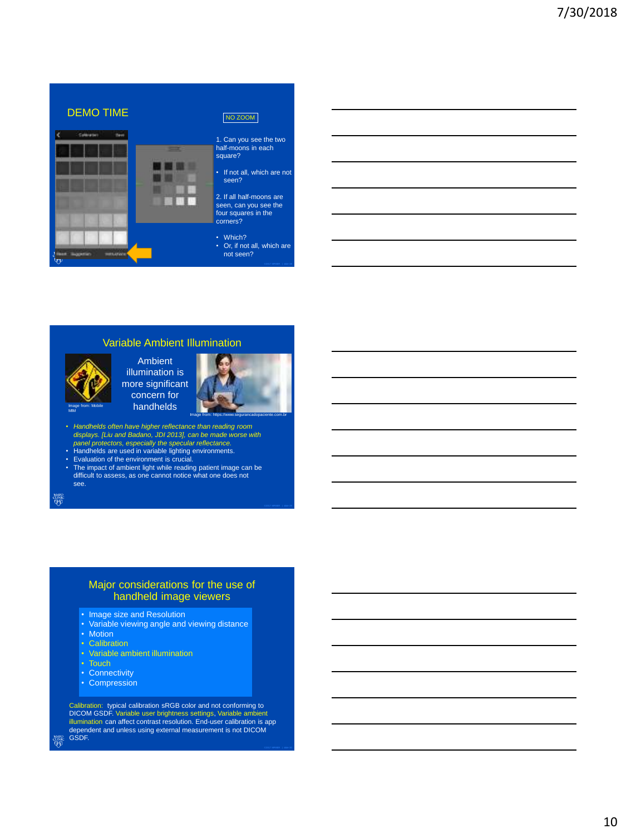

## Variable Ambient Illumination

Image from: Mobile

MIM

Ambient illumination is more significant concern for handhelds



- *Handhelds often have higher reflectance than reading room displays. [Liu and Badano, JDI 2013], can be made worse with*
- *panel protectors, especially the specular reflectance.* Handhelds are used in variable lighting environments. Evaluation of the environment is crucial.
- 
- The impact of ambient light while reading patient image can be difficult to assess, as one cannot notice what one does not see.

**MAYO** 

ഷ്യം<br>एंग्र

## Major considerations for the use of handheld image viewers

- Image size and Resolution
- Variable viewing angle and viewing distance
- Motion
- Calibration
- Variable ambient illumination
- 
- Connectivity
- Compression

Calibration: typical calibration sRGB color and not conforming to DICOM GSDF. Variable user brightness settings, Variable ambient illumination can affect contrast resolution. End-user calibration is app dependent and unless using external measurement is not DICOM GSDF.

10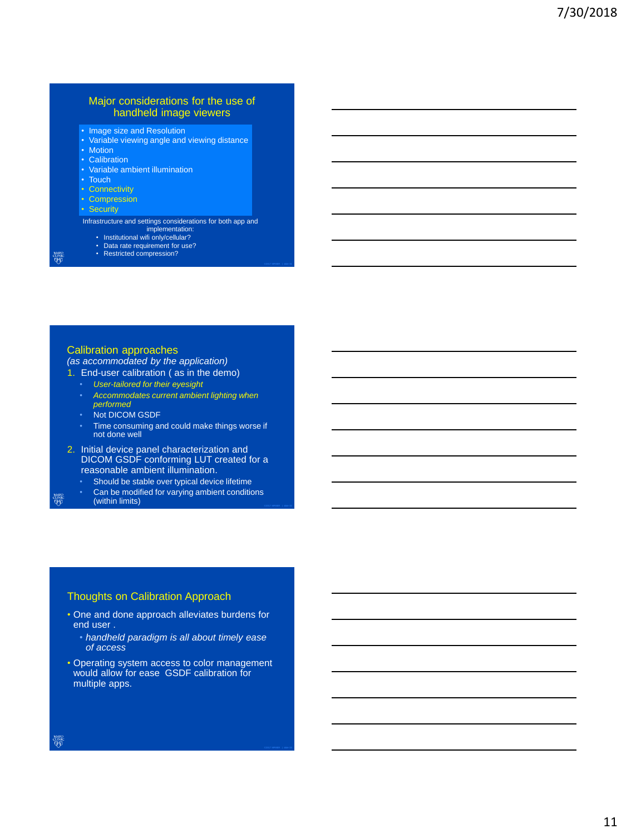## Major considerations for the use of handheld image viewers

- Image size and Resolution
- Variable viewing angle and viewing distance
- Motion
- Calibration
- Variable ambient illumination
- Touch
- Connectivity
- Compression

• Security

Infrastructure and settings considerations for both app and

- implementation: Institutional wifi only/cellular?
- Data rate requirement for use? Restricted compression?
- 

aawo<br>Qip

<sub>cune</sub><br>대해

## Calibration approaches

*(as accommodated by the application)*

- 1. End-user calibration ( as in the demo)
	- *User-tailored for their eyesight*
	- *Accommodates current ambient lighting when performed*
	- Not DICOM GSDF
	- Time consuming and could make things worse if not done well
- 2. Initial device panel characterization and DICOM GSDF conforming LUT created for a reasonable ambient illumination.
	- Should be stable over typical device lifetime
- Can be modified for varying ambient conditions (within limits)

## Thoughts on Calibration Approach

- One and done approach alleviates burdens for end user .
	- *handheld paradigm is all about timely ease of access*
- Operating system access to color management would allow for ease GSDF calibration for multiple apps.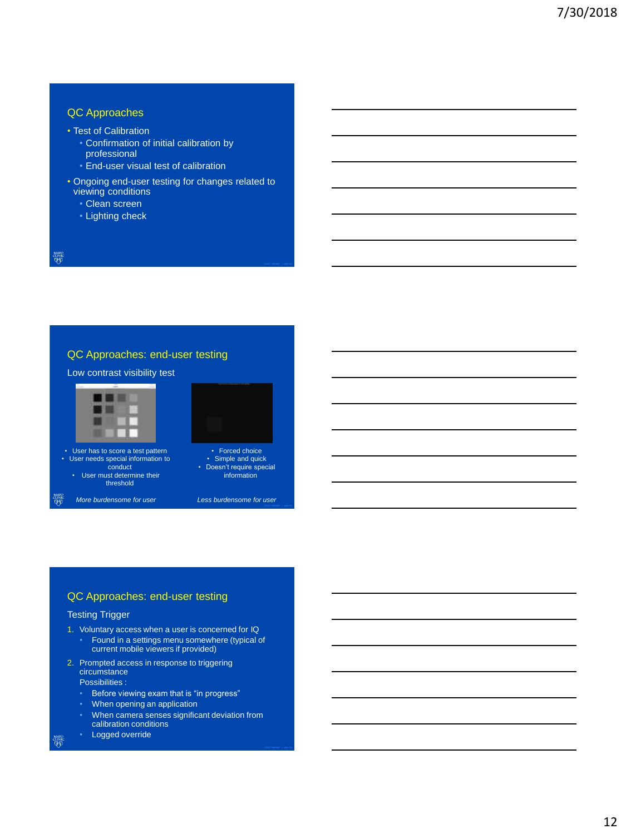# QC Approaches

- Test of Calibration
	- Confirmation of initial calibration by professional
	- End-user visual test of calibration
- Ongoing end-user testing for changes related to viewing conditions
	- Clean screen
	- Lighting check

mayo<br>Clinic<br>QD

# QC Approaches: end-user testing



# QC Approaches: end-user testing

## Testing Trigger

- 1. Voluntary access when a user is concerned for IQ • Found in a settings menu somewhere (typical of current mobile viewers if provided)
- 2. Prompted access in response to triggering circumstance

Possibilities :

- Before viewing exam that is "in progress"
- When opening an application
- When camera senses significant deviation from calibration conditions
- Logged override

anse<br>F